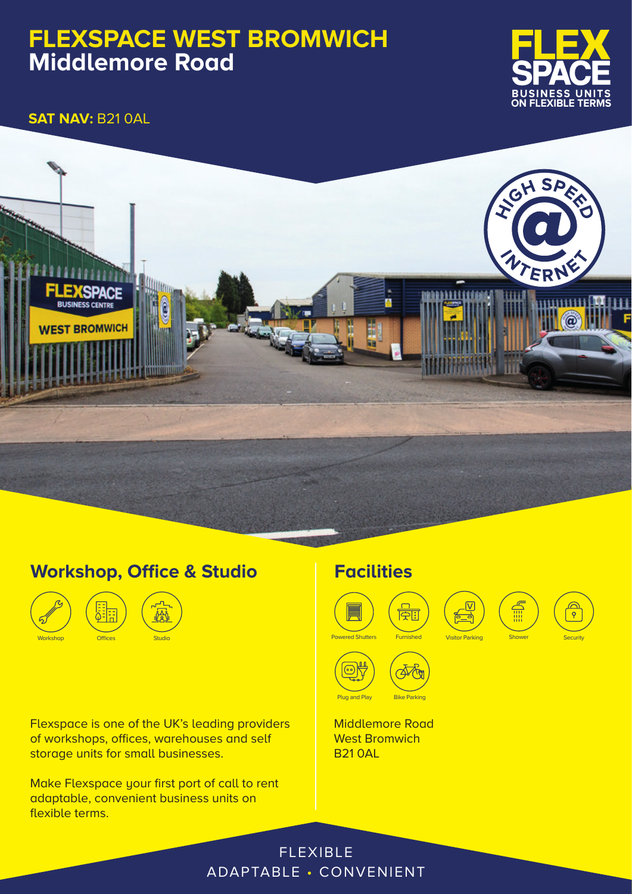# **FLEXSPACE WEST BROMWICH Middlemore Road**



**SAT NAV:** B21 0AL



## **Workshop, Office & Studio**



Flexspace is one of the UK's leading providers of workshops, offices, warehouses and self storage units for small businesses.

Make Flexspace your first port of call to rent adaptable, convenient business units on flexible terms.

## **Facilities**



**Middlemore Road** West Bromwich B21 0AL



**Shower** 

v

 $\frac{\bigcirc}{\circ}$ 

FLEXIBLE ADAPTABLE • CONVENIENT